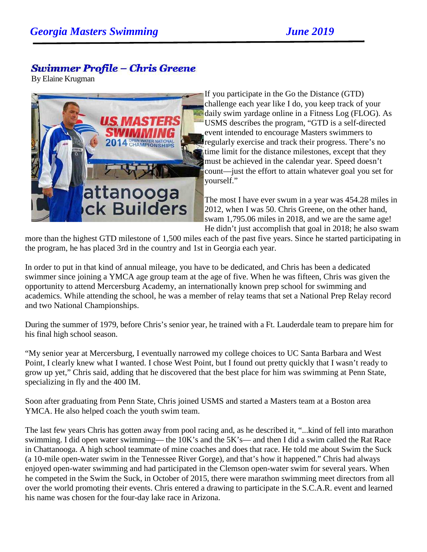## **Swimmer Profile - Chris Greene**

By Elaine Krugman



If you participate in the Go the Distance (GTD) challenge each year like I do, you keep track of your daily swim yardage online in a Fitness Log (FLOG). As USMS describes the program, "GTD is a self-directed event intended to encourage Masters swimmers to regularly exercise and track their progress. There's no time limit for the distance milestones, except that they must be achieved in the calendar year. Speed doesn't count—just the effort to attain whatever goal you set for yourself."

The most I have ever swum in a year was 454.28 miles in 2012, when I was 50. Chris Greene, on the other hand, swam 1,795.06 miles in 2018, and we are the same age! He didn't just accomplish that goal in 2018; he also swam

more than the highest GTD milestone of 1,500 miles each of the past five years. Since he started participating in the program, he has placed 3rd in the country and 1st in Georgia each year.

In order to put in that kind of annual mileage, you have to be dedicated, and Chris has been a dedicated swimmer since joining a YMCA age group team at the age of five. When he was fifteen, Chris was given the opportunity to attend Mercersburg Academy, an internationally known prep school for swimming and academics. While attending the school, he was a member of relay teams that set a National Prep Relay record and two National Championships.

During the summer of 1979, before Chris's senior year, he trained with a Ft. Lauderdale team to prepare him for his final high school season.

"My senior year at Mercersburg, I eventually narrowed my college choices to UC Santa Barbara and West Point, I clearly knew what I wanted. I chose West Point, but I found out pretty quickly that I wasn't ready to grow up yet," Chris said, adding that he discovered that the best place for him was swimming at Penn State, specializing in fly and the 400 IM.

Soon after graduating from Penn State, Chris joined USMS and started a Masters team at a Boston area YMCA. He also helped coach the youth swim team.

The last few years Chris has gotten away from pool racing and, as he described it, "...kind of fell into marathon swimming. I did open water swimming— the 10K's and the 5K's— and then I did a swim called the Rat Race in Chattanooga. A high school teammate of mine coaches and does that race. He told me about Swim the Suck (a 10-mile open-water swim in the Tennessee River Gorge), and that's how it happened." Chris had always enjoyed open-water swimming and had participated in the Clemson open-water swim for several years. When he competed in the Swim the Suck, in October of 2015, there were marathon swimming meet directors from all over the world promoting their events. Chris entered a drawing to participate in the S.C.A.R. event and learned his name was chosen for the four-day lake race in Arizona.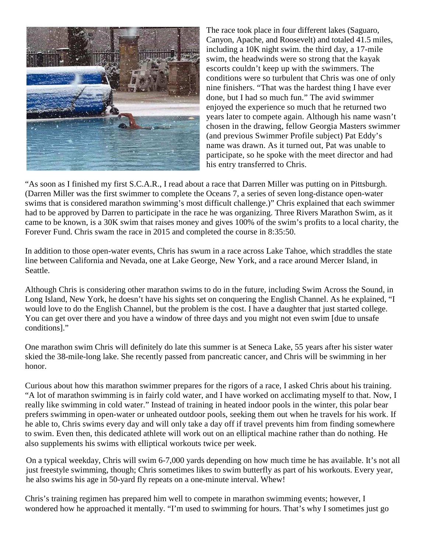

The race took place in four different lakes (Saguaro, Canyon, Apache, and Roosevelt) and totaled 41.5 miles, including a 10K night swim. the third day, a 17-mile swim, the headwinds were so strong that the kayak escorts couldn't keep up with the swimmers. The conditions were so turbulent that Chris was one of only nine finishers. "That was the hardest thing I have ever done, but I had so much fun." The avid swimmer enjoyed the experience so much that he returned two years later to compete again. Although his name wasn't chosen in the drawing, fellow Georgia Masters swimmer (and previous Swimmer Profile subject) Pat Eddy's name was drawn. As it turned out, Pat was unable to participate, so he spoke with the meet director and had his entry transferred to Chris.

"As soon as I finished my first S.C.A.R., I read about a race that Darren Miller was putting on in Pittsburgh. (Darren Miller was the first swimmer to complete the Oceans 7, a series of seven long-distance open-water swims that is considered marathon swimming's most difficult challenge.)" Chris explained that each swimmer had to be approved by Darren to participate in the race he was organizing. Three Rivers Marathon Swim, as it came to be known, is a 30K swim that raises money and gives 100% of the swim's profits to a local charity, the Forever Fund. Chris swam the race in 2015 and completed the course in 8:35:50.

In addition to those open-water events, Chris has swum in a race across Lake Tahoe, which straddles the state line between California and Nevada, one at Lake George, New York, and a race around Mercer Island, in Seattle.

Although Chris is considering other marathon swims to do in the future, including Swim Across the Sound, in Long Island, New York, he doesn't have his sights set on conquering the English Channel. As he explained, "I would love to do the English Channel, but the problem is the cost. I have a daughter that just started college. You can get over there and you have a window of three days and you might not even swim [due to unsafe conditions]."

One marathon swim Chris will definitely do late this summer is at Seneca Lake, 55 years after his sister water skied the 38-mile-long lake. She recently passed from pancreatic cancer, and Chris will be swimming in her honor.

Curious about how this marathon swimmer prepares for the rigors of a race, I asked Chris about his training. "A lot of marathon swimming is in fairly cold water, and I have worked on acclimating myself to that. Now, I really like swimming in cold water." Instead of training in heated indoor pools in the winter, this polar bear prefers swimming in open-water or unheated outdoor pools, seeking them out when he travels for his work. If he able to, Chris swims every day and will only take a day off if travel prevents him from finding somewhere to swim. Even then, this dedicated athlete will work out on an elliptical machine rather than do nothing. He also supplements his swims with elliptical workouts twice per week.

On a typical weekday, Chris will swim 6-7,000 yards depending on how much time he has available. It's not all just freestyle swimming, though; Chris sometimes likes to swim butterfly as part of his workouts. Every year, he also swims his age in 50-yard fly repeats on a one-minute interval. Whew!

Chris's training regimen has prepared him well to compete in marathon swimming events; however, I wondered how he approached it mentally. "I'm used to swimming for hours. That's why I sometimes just go